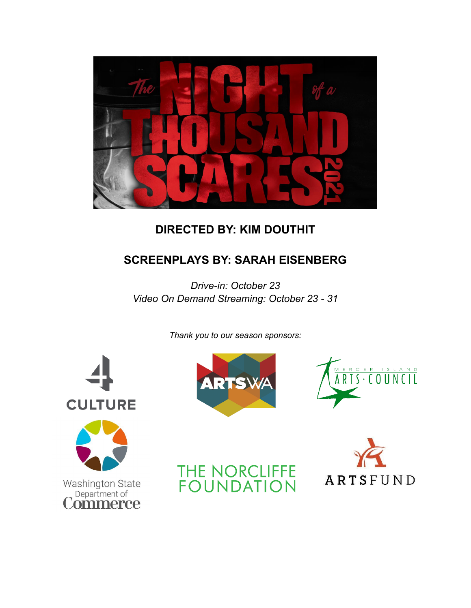

# **DIRECTED BY: KIM DOUTHIT**

# **SCREENPLAYS BY: SARAH EISENBERG**

*Drive-in: October 23 Video On Demand Streaming: October 23 - 31*

*Thank you to our season sponsors:*









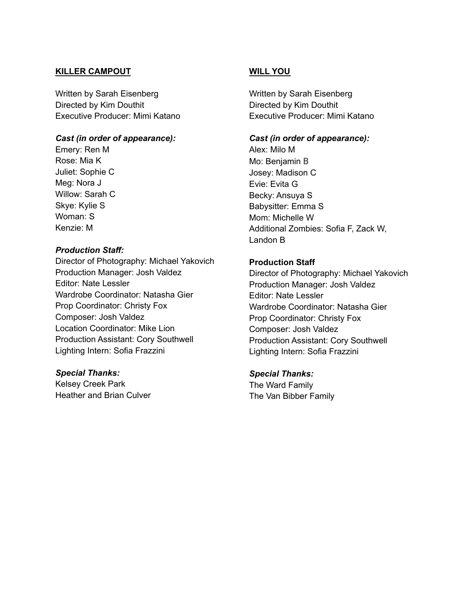#### **KILLER CAMPOUT**

Written by Sarah Eisenberg Directed by Kim Douthit Executive Producer: Mimi Katano

#### *Cast (in order of appearance):*

Emery: Ren M Rose: Mia K Juliet: Sophie C Meg: Nora J Willow: Sarah C Skye: Kylie S Woman: S Kenzie: M

#### *Production Staff:*

Director of Photography: Michael Yakovich Production Manager: Josh Valdez Editor: Nate Lessler Wardrobe Coordinator: Natasha Gier Prop Coordinator: Christy Fox Composer: Josh Valdez Location Coordinator: Mike Lion Production Assistant: Cory Southwell Lighting Intern: Sofia Frazzini

#### *Special Thanks:*

Kelsey Creek Park Heather and Brian Culver

## **WILL YOU**

Written by Sarah Eisenberg Directed by Kim Douthit Executive Producer: Mimi Katano

#### *Cast (in order of appearance):*

Alex: Milo M Mo: Benjamin B Josey: Madison C Evie: Evita G Becky: Ansuya S Babysitter: Emma S Mom: Michelle W Additional Zombies: Sofia F, Zack W, Landon B

## **Production Staff**

Director of Photography: Michael Yakovich Production Manager: Josh Valdez Editor: Nate Lessler Wardrobe Coordinator: Natasha Gier Prop Coordinator: Christy Fox Composer: Josh Valdez Production Assistant: Cory Southwell Lighting Intern: Sofia Frazzini

## *Special Thanks:*

The Ward Family The Van Bibber Family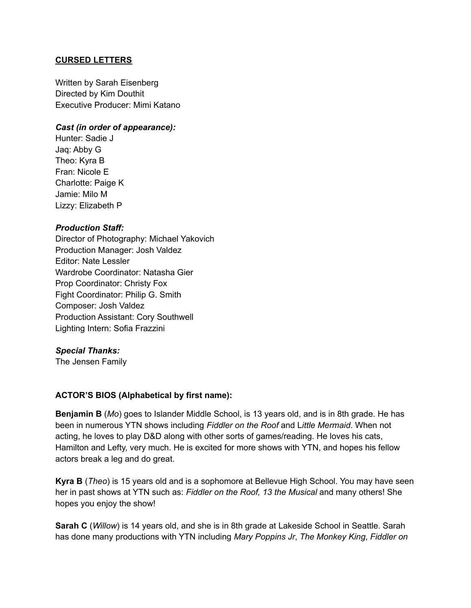## **CURSED LETTERS**

Written by Sarah Eisenberg Directed by Kim Douthit Executive Producer: Mimi Katano

## *Cast (in order of appearance):*

Hunter: Sadie J Jaq: Abby G Theo: Kyra B Fran: Nicole E Charlotte: Paige K Jamie: Milo M Lizzy: Elizabeth P

## *Production Staff:*

Director of Photography: Michael Yakovich Production Manager: Josh Valdez Editor: Nate Lessler Wardrobe Coordinator: Natasha Gier Prop Coordinator: Christy Fox Fight Coordinator: Philip G. Smith Composer: Josh Valdez Production Assistant: Cory Southwell Lighting Intern: Sofia Frazzini

## *Special Thanks:*

The Jensen Family

# **ACTOR'S BIOS (Alphabetical by first name):**

**Benjamin B** (*Mo*) goes to Islander Middle School, is 13 years old, and is in 8th grade. He has been in numerous YTN shows including *Fiddler on the Roof* and L*ittle Mermaid*. When not acting, he loves to play D&D along with other sorts of games/reading. He loves his cats, Hamilton and Lefty, very much. He is excited for more shows with YTN, and hopes his fellow actors break a leg and do great.

**Kyra B** (*Theo*) is 15 years old and is a sophomore at Bellevue High School. You may have seen her in past shows at YTN such as: *Fiddler on the Roof, 13 the Musical* and many others! She hopes you enjoy the show!

**Sarah C** (*Willow*) is 14 years old, and she is in 8th grade at Lakeside School in Seattle. Sarah has done many productions with YTN including *Mary Poppins Jr*, *The Monkey King*, *Fiddler on*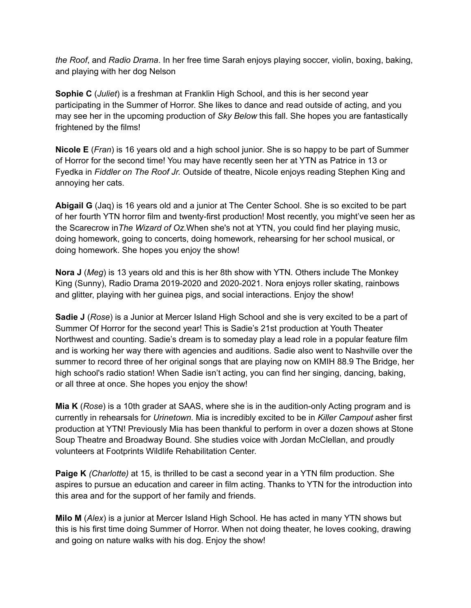*the Roof*, and *Radio Drama*. In her free time Sarah enjoys playing soccer, violin, boxing, baking, and playing with her dog Nelson

**Sophie C** (*Juliet*) is a freshman at Franklin High School, and this is her second year participating in the Summer of Horror. She likes to dance and read outside of acting, and you may see her in the upcoming production of *Sky Below* this fall. She hopes you are fantastically frightened by the films!

**Nicole E** (*Fran*) is 16 years old and a high school junior. She is so happy to be part of Summer of Horror for the second time! You may have recently seen her at YTN as Patrice in 13 or Fyedka in *Fiddler on The Roof Jr.* Outside of theatre, Nicole enjoys reading Stephen King and annoying her cats.

**Abigail G** (Jaq) is 16 years old and a junior at The Center School. She is so excited to be part of her fourth YTN horror film and twenty-first production! Most recently, you might've seen her as the Scarecrow in*The Wizard of Oz.*When she's not at YTN, you could find her playing music, doing homework, going to concerts, doing homework, rehearsing for her school musical, or doing homework. She hopes you enjoy the show!

**Nora J** (*Meg*) is 13 years old and this is her 8th show with YTN. Others include The Monkey King (Sunny), Radio Drama 2019-2020 and 2020-2021. Nora enjoys roller skating, rainbows and glitter, playing with her guinea pigs, and social interactions. Enjoy the show!

**Sadie J** (*Rose*) is a Junior at Mercer Island High School and she is very excited to be a part of Summer Of Horror for the second year! This is Sadie's 21st production at Youth Theater Northwest and counting. Sadie's dream is to someday play a lead role in a popular feature film and is working her way there with agencies and auditions. Sadie also went to Nashville over the summer to record three of her original songs that are playing now on KMIH 88.9 The Bridge, her high school's radio station! When Sadie isn't acting, you can find her singing, dancing, baking, or all three at once. She hopes you enjoy the show!

**Mia K** (*Rose*) is a 10th grader at SAAS, where she is in the audition-only Acting program and is currently in rehearsals for *Urinetown.* Mia is incredibly excited to be in *Killer Campout* asher first production at YTN! Previously Mia has been thankful to perform in over a dozen shows at Stone Soup Theatre and Broadway Bound. She studies voice with Jordan McClellan, and proudly volunteers at Footprints Wildlife Rehabilitation Center.

**Paige K** *(Charlotte)* at 15, is thrilled to be cast a second year in a YTN film production. She aspires to pursue an education and career in film acting. Thanks to YTN for the introduction into this area and for the support of her family and friends.

**Milo M** (*Alex*) is a junior at Mercer Island High School. He has acted in many YTN shows but this is his first time doing Summer of Horror. When not doing theater, he loves cooking, drawing and going on nature walks with his dog. Enjoy the show!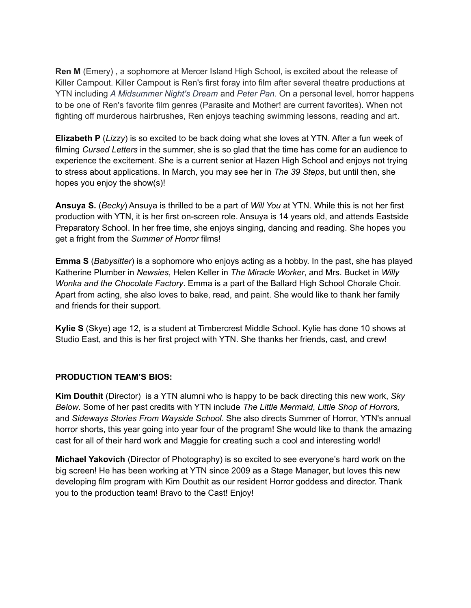**Ren M** (Emery) , a sophomore at Mercer Island High School, is excited about the release of Killer Campout. Killer Campout is Ren's first foray into film after several theatre productions at YTN including *A Midsummer Night's Dream* and *Peter Pan.* On a personal level, horror happens to be one of Ren's favorite film genres (Parasite and Mother! are current favorites). When not fighting off murderous hairbrushes, Ren enjoys teaching swimming lessons, reading and art.

**Elizabeth P** (*Lizzy*) is so excited to be back doing what she loves at YTN. After a fun week of filming *Cursed Letters* in the summer, she is so glad that the time has come for an audience to experience the excitement. She is a current senior at Hazen High School and enjoys not trying to stress about applications. In March, you may see her in *The 39 Steps*, but until then, she hopes you enjoy the show(s)!

**Ansuya S.** (*Becky*) Ansuya is thrilled to be a part of *Will You* at YTN. While this is not her first production with YTN, it is her first on-screen role. Ansuya is 14 years old, and attends Eastside Preparatory School. In her free time, she enjoys singing, dancing and reading. She hopes you get a fright from the *Summer of Horror* films!

**Emma S** (*Babysitter*) is a sophomore who enjoys acting as a hobby. In the past, she has played Katherine Plumber in *Newsies*, Helen Keller in *The Miracle Worker*, and Mrs. Bucket in *Willy Wonka and the Chocolate Factory*. Emma is a part of the Ballard High School Chorale Choir. Apart from acting, she also loves to bake, read, and paint. She would like to thank her family and friends for their support.

**Kylie S** (Skye) age 12, is a student at Timbercrest Middle School. Kylie has done 10 shows at Studio East, and this is her first project with YTN. She thanks her friends, cast, and crew!

# **PRODUCTION TEAM'S BIOS:**

**Kim Douthit** (Director) is a YTN alumni who is happy to be back directing this new work, *Sky Below*. Some of her past credits with YTN include *The Little Mermaid*, *Little Shop of Horrors,* and *Sideways Stories From Wayside School*. She also directs Summer of Horror, YTN's annual horror shorts, this year going into year four of the program! She would like to thank the amazing cast for all of their hard work and Maggie for creating such a cool and interesting world!

**Michael Yakovich** (Director of Photography) is so excited to see everyone's hard work on the big screen! He has been working at YTN since 2009 as a Stage Manager, but loves this new developing film program with Kim Douthit as our resident Horror goddess and director. Thank you to the production team! Bravo to the Cast! Enjoy!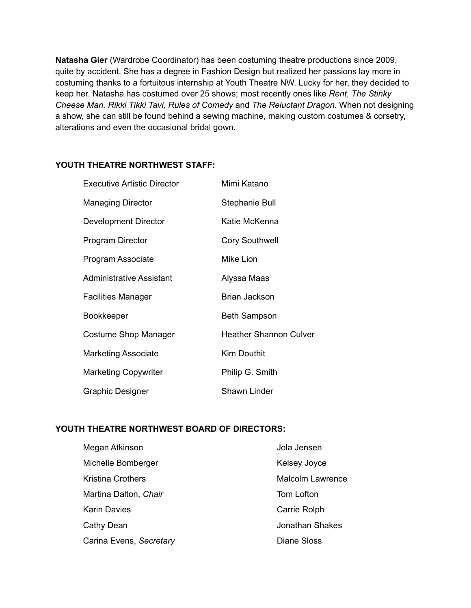**Natasha Gier** (Wardrobe Coordinator) has been costuming theatre productions since 2009, quite by accident. She has a degree in Fashion Design but realized her passions lay more in costuming thanks to a fortuitous internship at Youth Theatre NW. Lucky for her, they decided to keep her. Natasha has costumed over 25 shows; most recently ones like *Rent*, *The Stinky Cheese Man, Rikki Tikki Tavi, Rules of Comedy* and *The Reluctant Dragon*. When not designing a show, she can still be found behind a sewing machine, making custom costumes & corsetry, alterations and even the occasional bridal gown.

## **YOUTH THEATRE NORTHWEST STAFF:**

| <b>Executive Artistic Director</b> | Mimi Katano                   |
|------------------------------------|-------------------------------|
| <b>Managing Director</b>           | Stephanie Bull                |
| Development Director               | Katie McKenna                 |
| Program Director                   | <b>Cory Southwell</b>         |
| Program Associate                  | Mike Lion                     |
| Administrative Assistant           | Alyssa Maas                   |
| <b>Facilities Manager</b>          | Brian Jackson                 |
| <b>Bookkeeper</b>                  | <b>Beth Sampson</b>           |
| Costume Shop Manager               | <b>Heather Shannon Culver</b> |
| <b>Marketing Associate</b>         | <b>Kim Douthit</b>            |
| <b>Marketing Copywriter</b>        | Philip G. Smith               |
| Graphic Designer                   | <b>Shawn Linder</b>           |

# **YOUTH THEATRE NORTHWEST BOARD OF DIRECTORS:**

| Megan Atkinson           | Jola Jensen             |
|--------------------------|-------------------------|
| Michelle Bomberger       | Kelsey Joyce            |
| <b>Kristina Crothers</b> | <b>Malcolm Lawrence</b> |
| Martina Dalton, Chair    | Tom Lofton              |
| <b>Karin Davies</b>      | Carrie Rolph            |
| Cathy Dean               | <b>Jonathan Shakes</b>  |
| Carina Evens, Secretary  | <b>Diane Sloss</b>      |